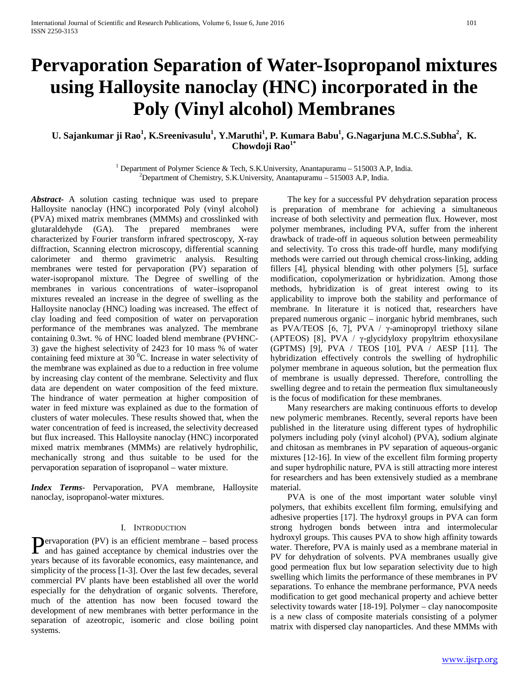# **Pervaporation Separation of Water-Isopropanol mixtures using Halloysite nanoclay (HNC) incorporated in the Poly (Vinyl alcohol) Membranes**

# $U$ . Sajankumar ji Rao $^1$ , K.Sreenivasulu $^1$ , Y.Maruthi $^1$ , P. Kumara Babu $^1$ , G.Nagarjuna M.C.S.Subha $^2$ , K. **Chowdoji Rao1\***

<sup>1</sup> Department of Polymer Science & Tech, S.K.University, Anantapuramu – 515003 A.P. India.  $^{2}$ Department of Chemistry, S.K.University, Anantapuramu – 515003 A.P, India.

*Abstract***-** A solution casting technique was used to prepare Halloysite nanoclay (HNC) incorporated Poly (vinyl alcohol) (PVA) mixed matrix membranes (MMMs) and crosslinked with glutaraldehyde (GA). The prepared membranes were characterized by Fourier transform infrared spectroscopy, X-ray diffraction, Scanning electron microscopy, differential scanning calorimeter and thermo gravimetric analysis. Resulting membranes were tested for pervaporation (PV) separation of water-isopropanol mixture. The Degree of swelling of the membranes in various concentrations of water–isopropanol mixtures revealed an increase in the degree of swelling as the Halloysite nanoclay (HNC) loading was increased. The effect of clay loading and feed composition of water on pervaporation performance of the membranes was analyzed. The membrane containing 0.3wt. % of HNC loaded blend membrane (PVHNC-3) gave the highest selectivity of 2423 for 10 mass % of water containing feed mixture at 30 $\mathrm{^{0}C}$ . Increase in water selectivity of the membrane was explained as due to a reduction in free volume by increasing clay content of the membrane. Selectivity and flux data are dependent on water composition of the feed mixture. The hindrance of water permeation at higher composition of water in feed mixture was explained as due to the formation of clusters of water molecules. These results showed that, when the water concentration of feed is increased, the selectivity decreased but flux increased. This Halloysite nanoclay (HNC) incorporated mixed matrix membranes (MMMs) are relatively hydrophilic, mechanically strong and thus suitable to be used for the pervaporation separation of isopropanol – water mixture.

*Index Terms*- Pervaporation, PVA membrane, Halloysite nanoclay, isopropanol-water mixtures.

#### I. INTRODUCTION

ervaporation (PV) is an efficient membrane – based process **P**ervaporation (PV) is an efficient membrane – based process and has gained acceptance by chemical industries over the years because of its favorable economics, easy maintenance, and simplicity of the process [1-3]. Over the last few decades, several commercial PV plants have been established all over the world especially for the dehydration of organic solvents. Therefore, much of the attention has now been focused toward the development of new membranes with better performance in the separation of azeotropic, isomeric and close boiling point systems.

 The key for a successful PV dehydration separation process is preparation of membrane for achieving a simultaneous increase of both selectivity and permeation flux. However, most polymer membranes, including PVA, suffer from the inherent drawback of trade-off in aqueous solution between permeability and selectivity. To cross this trade-off hurdle, many modifying methods were carried out through chemical cross-linking, adding fillers [4], physical blending with other polymers [5], surface modification, copolymerization or hybridization. Among those methods, hybridization is of great interest owing to its applicability to improve both the stability and performance of membrane. In literature it is noticed that, researchers have prepared numerous organic – inorganic hybrid membranes, such as PVA/TEOS [6, 7], PVA / γ-aminopropyl triethoxy silane (APTEOS) [8], PVA / γ-glycidyloxy propyltrim ethoxysilane (GPTMS) [9], PVA / TEOS [10], PVA / AESP [11]. The hybridization effectively controls the swelling of hydrophilic polymer membrane in aqueous solution, but the permeation flux of membrane is usually depressed. Therefore, controlling the swelling degree and to retain the permeation flux simultaneously is the focus of modification for these membranes.

 Many researchers are making continuous efforts to develop new polymeric membranes. Recently, several reports have been published in the literature using different types of hydrophilic polymers including poly (vinyl alcohol) (PVA), sodium alginate and chitosan as membranes in PV separation of aqueous-organic mixtures [12-16]. In view of the excellent film forming property and super hydrophilic nature, PVA is still attracting more interest for researchers and has been extensively studied as a membrane material.

 PVA is one of the most important water soluble vinyl polymers, that exhibits excellent film forming, emulsifying and adhesive properties [17]. The hydroxyl groups in PVA can form strong hydrogen bonds between intra and intermolecular hydroxyl groups. This causes PVA to show high affinity towards water. Therefore, PVA is mainly used as a membrane material in PV for dehydration of solvents. PVA membranes usually give good permeation flux but low separation selectivity due to high swelling which limits the performance of these membranes in PV separations. To enhance the membrane performance, PVA needs modification to get good mechanical property and achieve better selectivity towards water [18-19]. Polymer – clay nanocomposite is a new class of composite materials consisting of a polymer matrix with dispersed clay nanoparticles. And these MMMs with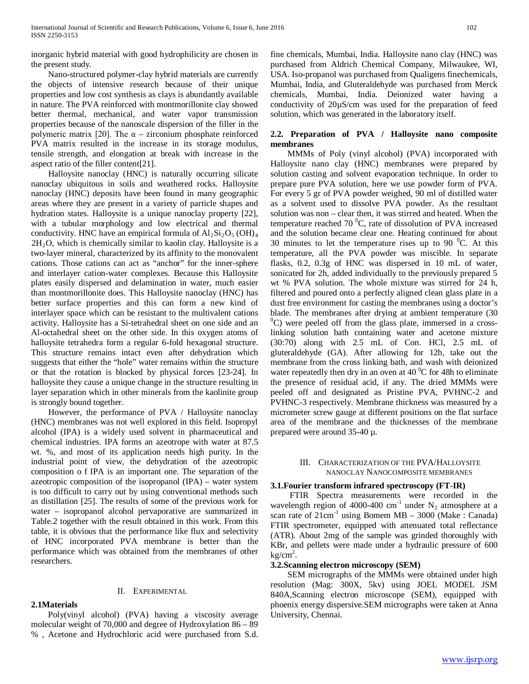inorganic hybrid material with good hydrophilicity are chosen in the present study.

 Nano-structured polymer-clay hybrid materials are currently the objects of intensive research because of their unique properties and low cost synthesis as clays is abundantly available in nature. The PVA reinforced with montmorillonite clay showed better thermal, mechanical, and water vapor transmission properties because of the nanoscale dispersion of the filler in the polymeric matrix [20]. The  $\alpha$  – zirconium phosphate reinforced PVA matrix resulted in the increase in its storage modulus, tensile strength, and elongation at break with increase in the aspect ratio of the filler content[21].

 Halloysite nanoclay (HNC) is naturally occurring silicate nanoclay ubiquitous in soils and weathered rocks. Halloysite nanoclay (HNC) deposits have been found in many geographic areas where they are present in a variety of particle shapes and hydration states. Halloysite is a unique nanoclay property [22], with a tubular morphology and low electrical and thermal conductivity. HNC have an empirical formula of  $Al_2Si_2O_5(OH)_4$  $2H<sub>2</sub>O$ , which is chemically similar to kaolin clay. Halloysite is a two-layer mineral, characterized by its affinity to the monovalent cations. Those cations can act as "anchor" for the inner-sphere and interlayer cation-water complexes. Because this Halloysite plates easily dispersed and delamination in water, much easier than montmorillonite does. This Halloysite nanoclay (HNC) has better surface properties and this can form a new kind of interlayer space which can be resistant to the multivalent cations activity. Halloysite has a Si-tetrahedral sheet on one side and an Al-octahedral sheet on the other side. In this oxygen atoms of halloysite tetrahedra form a regular 6-fold hexagonal structure. This structure remains intact even after dehydration which suggests that either the "hole" water remains within the structure or that the rotation is blocked by physical forces [23-24]. In halloysite they cause a unique change in the structure resulting in layer separation which in other minerals from the kaolinite group is strongly bound together.

 However, the performance of PVA / Halloysite nanoclay (HNC) membranes was not well explored in this field. Isopropyl alcohol (IPA) is a widely used solvent in pharmaceutical and chemical industries. IPA forms an azeotrope with water at 87.5 wt. %, and most of its application needs high purity. In the industrial point of view, the dehydration of the azeotropic composition o f IPA is an important one. The separation of the azeotropic composition of the isopropanol (IPA) – water system is too difficult to carry out by using conventional methods such as distillation [25]. The results of some of the previous work for water – isopropanol alcohol pervaporative are summarized in Table.2 together with the result obtained in this work. From this table, it is obvious that the performance like flux and selectivity of HNC incorporated PVA membrane is better than the performance which was obtained from the membranes of other researchers.

## II. EXPERIMENTAL

 Poly(vinyl alcohol) (PVA) having a viscosity average molecular weight of 70,000 and degree of Hydroxylation 86 – 89 % , Acetone and Hydrochloric acid were purchased from S.d.

**2.1Materials**

fine chemicals, Mumbai, India. Halloysite nano clay (HNC) was purchased from Aldrich Chemical Company, Milwaukee, WI, USA. Iso-propanol was purchased from Qualigens finechemicals, Mumbai, India, and Gluteraldehyde was purchased from Merck chemicals, Mumbai, India. Deionized water having a conductivity of 20µS/cm was used for the preparation of feed solution, which was generated in the laboratory itself.

### **2.2. Preparation of PVA / Halloysite nano composite membranes**

 MMMs of Poly (vinyl alcohol) (PVA) incorporated with Halloysite nano clay (HNC) membranes were prepared by solution casting and solvent evaporation technique. In order to prepare pure PVA solution, here we use powder form of PVA. For every 5 gr of PVA powder weighed, 90 ml of distilled water as a solvent used to dissolve PVA powder. As the resultant solution was non – clear then, it was stirred and heated. When the temperature reached 70  $\mathrm{^0C}$ , rate of dissolution of PVA increased and the solution became clear one. Heating continued for about 30 minutes to let the temperature rises up to 90 $\,^0C$ . At this temperature, all the PVA powder was miscible. In separate flasks, 0.2, 0.3g of HNC was dispersed in 10 mL of water, sonicated for 2h, added individually to the previously prepared 5 wt % PVA solution. The whole mixture was stirred for 24 h, filtered and poured onto a perfectly aligned clean glass plate in a dust free environment for casting the membranes using a doctor's blade. The membranes after drying at ambient temperature (30  $^{0}$ C) were peeled off from the glass plate, immersed in a crosslinking solution bath containing water and acetone mixture (30:70) along with 2.5 mL of Con. HCl, 2.5 mL of gluteraldehyde (GA). After allowing for 12h, take out the membrane from the cross linking bath, and wash with deionized water repeatedly then dry in an oven at 40 $\mathrm{^0C}$  for 48h to eliminate the presence of residual acid, if any. The dried MMMs were peeled off and designated as Pristine PVA, PVHNC-2 and PVHNC-3 respectively. Membrane thickness was measured by a micrometer screw gauge at different positions on the flat surface area of the membrane and the thicknesses of the membrane prepared were around 35-40 µ.

#### III. CHARACTERIZATION OF THE PVA/HALLOYSITE NANOCLAY NANOCOMPOSITE MEMBRANES

### **3.1.Fourier transform infrared spectroscopy (FT-IR)**

 FTIR Spectra measurements were recorded in the wavelength region of 4000-400 cm<sup>-1</sup> under  $N_2$  atmosphere at a scan rate of  $21 \text{cm}^{-1}$  using Bomem MB – 3000 (Make : Canada) FTIR spectrometer, equipped with attenuated total reflectance (ATR). About 2mg of the sample was grinded thoroughly with KBr, and pellets were made under a hydraulic pressure of 600  $kg/cm<sup>2</sup>$ .

#### **3.2.Scanning electron microscopy (SEM)**

 SEM micrographs of the MMMs were obtained under high resolution (Mag: 300X, 5kv) using JOEL MODEL JSM 840A,Scanning electron microscope (SEM), equipped with phoenix energy dispersive.SEM micrographs were taken at Anna University, Chennai.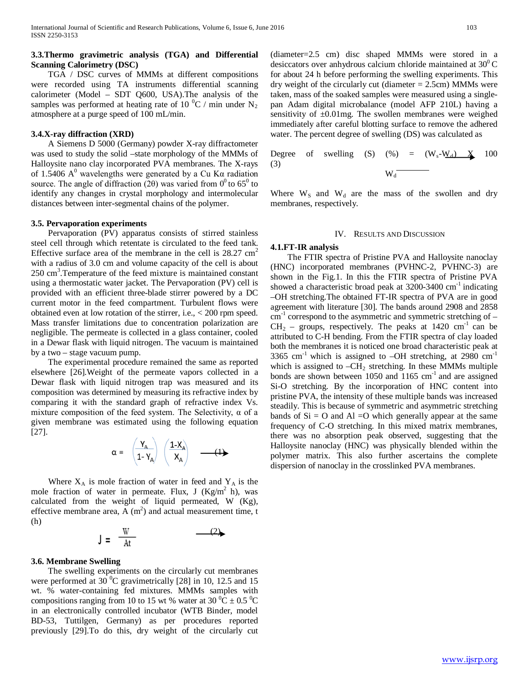### **3.3.Thermo gravimetric analysis (TGA) and Differential Scanning Calorimetry (DSC)**

 TGA / DSC curves of MMMs at different compositions were recorded using TA instruments differential scanning calorimeter (Model – SDT Q600, USA).The analysis of the samples was performed at heating rate of 10  $^0C$  / min under N<sub>2</sub> atmosphere at a purge speed of 100 mL/min.

#### **3.4.X-ray diffraction (XRD)**

 A Siemens D 5000 (Germany) powder X-ray diffractometer was used to study the solid –state morphology of the MMMs of Halloysite nano clay incorporated PVA membranes. The X-rays of 1.5406  $A^0$  wavelengths were generated by a Cu K $\alpha$  radiation source. The angle of diffraction (2 $\theta$ ) was varied from 0<sup>0</sup> to 65<sup>0</sup> to identify any changes in crystal morphology and intermolecular distances between inter-segmental chains of the polymer.

### **3.5. Pervaporation experiments**

 Pervaporation (PV) apparatus consists of stirred stainless steel cell through which retentate is circulated to the feed tank. Effective surface area of the membrane in the cell is  $28.27 \text{ cm}^2$ with a radius of 3.0 cm and volume capacity of the cell is about 250 cm<sup>3</sup>. Temperature of the feed mixture is maintained constant using a thermostatic water jacket. The Pervaporation (PV) cell is provided with an efficient three-blade stirrer powered by a DC current motor in the feed compartment. Turbulent flows were obtained even at low rotation of the stirrer, i.e., < 200 rpm speed. Mass transfer limitations due to concentration polarization are negligible. The permeate is collected in a glass container, cooled in a Dewar flask with liquid nitrogen. The vacuum is maintained by a two – stage vacuum pump.

 The experimental procedure remained the same as reported elsewhere [26].Weight of the permeate vapors collected in a Dewar flask with liquid nitrogen trap was measured and its composition was determined by measuring its refractive index by comparing it with the standard graph of refractive index Vs. mixture composition of the feed system. The Selectivity,  $\alpha$  of a given membrane was estimated using the following equation [27].

$$
\alpha = \left(\frac{Y_A}{1 - Y_A}\right) \left(\frac{1 - X_A}{X_A}\right) \quad \longrightarrow (1)
$$

Where  $X_A$  is mole fraction of water in feed and  $Y_A$  is the mole fraction of water in permeate. Flux, J  $(Kg/m^2 h)$ , was calculated from the weight of liquid permeated, W (Kg), effective membrane area,  $\overline{A}$  (m<sup>2</sup>) and actual measurement time, t (h)

$$
J = \frac{W}{At} \qquad (2)
$$

#### **3.6. Membrane Swelling**

 The swelling experiments on the circularly cut membranes were performed at 30 $^{0}$ C gravimetrically [28] in 10, 12.5 and 15 wt. % water-containing fed mixtures. MMMs samples with compositions ranging from 10 to 15 wt % water at 30  $^0C \pm 0.5$   $^0C$ in an electronically controlled incubator (WTB Binder, model BD-53, Tuttilgen, Germany) as per procedures reported previously [29].To do this, dry weight of the circularly cut

(diameter=2.5 cm) disc shaped MMMs were stored in a desiccators over anhydrous calcium chloride maintained at  $30^0$ C for about 24 h before performing the swelling experiments. This dry weight of the circularly cut (diameter  $= 2.5$ cm) MMMs were taken, mass of the soaked samples were measured using a singlepan Adam digital microbalance (model AFP 210L) having a sensitivity of  $\pm 0.01$  mg. The swollen membranes were weighed immediately after careful blotting surface to remove the adhered water. The percent degree of swelling (DS) was calculated as

Degree of swelling (S) 
$$
(\%) = (W_s-W_d) \times 100
$$
  
(3)  $W_d$ 

Where  $W_S$  and  $W_d$  are the mass of the swollen and dry membranes, respectively.

#### IV. RESULTS AND DISCUSSION

#### **4.1.FT-IR analysis**

 The FTIR spectra of Pristine PVA and Halloysite nanoclay (HNC) incorporated membranes (PVHNC-2, PVHNC-3) are shown in the Fig.1. In this the FTIR spectra of Pristine PVA showed a characteristic broad peak at  $3200-3400$  cm<sup>-1</sup> indicating –OH stretching.The obtained FT-IR spectra of PVA are in good agreement with literature [30]. The bands around 2908 and 2858  $cm^{-1}$  correspond to the asymmetric and symmetric stretching of –  $CH<sub>2</sub>$  – groups, respectively. The peaks at 1420 cm<sup>-1</sup> can be attributed to C-H bending. From the FTIR spectra of clay loaded both the membranes it is noticed one broad characteristic peak at 3365 cm<sup>-1</sup> which is assigned to -OH stretching, at 2980 cm<sup>-1</sup> which is assigned to  $-CH<sub>2</sub>$  stretching. In these MMMs multiple bonds are shown between 1050 and 1165  $cm^{-1}$  and are assigned Si-O stretching. By the incorporation of HNC content into pristine PVA, the intensity of these multiple bands was increased steadily. This is because of symmetric and asymmetric stretching bands of  $Si = O$  and  $Al = O$  which generally appear at the same frequency of C-O stretching. In this mixed matrix membranes, there was no absorption peak observed, suggesting that the Halloysite nanoclay (HNC) was physically blended within the polymer matrix. This also further ascertains the complete dispersion of nanoclay in the crosslinked PVA membranes.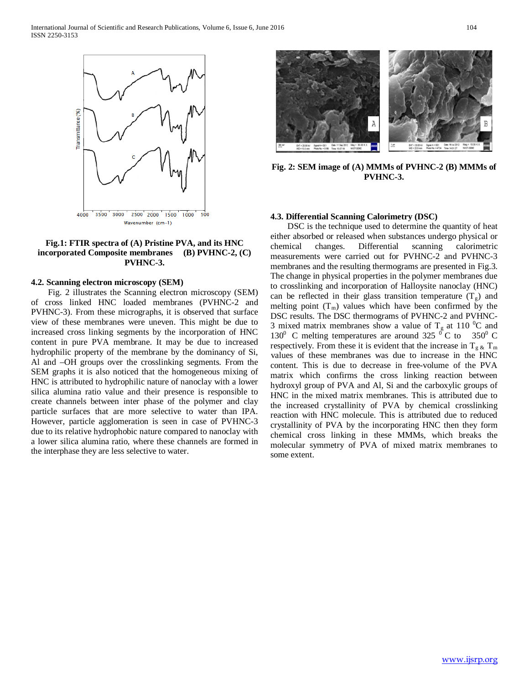

#### **Fig.1: FTIR spectra of (A) Pristine PVA, and its HNC incorporated Composite membranes (B) PVHNC-2, (C) PVHNC-3.**

#### **4.2. Scanning electron microscopy (SEM)**

 Fig. 2 illustrates the Scanning electron microscopy (SEM) of cross linked HNC loaded membranes (PVHNC-2 and PVHNC-3). From these micrographs, it is observed that surface view of these membranes were uneven. This might be due to increased cross linking segments by the incorporation of HNC content in pure PVA membrane. It may be due to increased hydrophilic property of the membrane by the dominancy of Si, Al and –OH groups over the crosslinking segments. From the SEM graphs it is also noticed that the homogeneous mixing of HNC is attributed to hydrophilic nature of nanoclay with a lower silica alumina ratio value and their presence is responsible to create channels between inter phase of the polymer and clay particle surfaces that are more selective to water than IPA. However, particle agglomeration is seen in case of PVHNC-3 due to its relative hydrophobic nature compared to nanoclay with a lower silica alumina ratio, where these channels are formed in the interphase they are less selective to water.



**Fig. 2: SEM image of (A) MMMs of PVHNC-2 (B) MMMs of PVHNC-3.**

#### **4.3. Differential Scanning Calorimetry (DSC)**

 DSC is the technique used to determine the quantity of heat either absorbed or released when substances undergo physical or chemical changes. Differential scanning calorimetric measurements were carried out for PVHNC-2 and PVHNC-3 membranes and the resulting thermograms are presented in Fig.3. The change in physical properties in the polymer membranes due to crosslinking and incorporation of Halloysite nanoclay (HNC) can be reflected in their glass transition temperature  $(T_{g})$  and melting point  $(T_m)$  values which have been confirmed by the DSC results. The DSC thermograms of PVHNC-2 and PVHNC-3 mixed matrix membranes show a value of  $T_g$  at 110 <sup>o</sup>C and 130<sup>0</sup> C melting temperatures are around 325<sup> $\,$  o</sup>C to 350<sup>0</sup> C respectively. From these it is evident that the increase in  $T_{g \& T_m}$ values of these membranes was due to increase in the HNC content. This is due to decrease in free-volume of the PVA matrix which confirms the cross linking reaction between hydroxyl group of PVA and Al, Si and the carboxylic groups of HNC in the mixed matrix membranes. This is attributed due to the increased crystallinity of PVA by chemical crosslinking reaction with HNC molecule. This is attributed due to reduced crystallinity of PVA by the incorporating HNC then they form chemical cross linking in these MMMs, which breaks the molecular symmetry of PVA of mixed matrix membranes to some extent.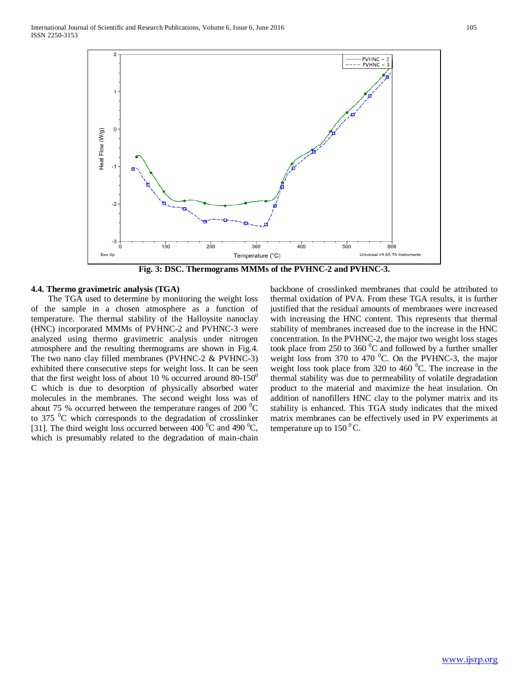

**Fig. 3: DSC. Thermograms MMMs of the PVHNC-2 and PVHNC-3.**

#### **4.4. Thermo gravimetric analysis (TGA)**

 The TGA used to determine by monitoring the weight loss of the sample in a chosen atmosphere as a function of temperature. The thermal stability of the Halloysite nanoclay (HNC) incorporated MMMs of PVHNC-2 and PVHNC-3 were analyzed using thermo gravimetric analysis under nitrogen atmosphere and the resulting thermograms are shown in Fig.4. The two nano clay filled membranes (PVHNC-2 & PVHNC-3) exhibited there consecutive steps for weight loss. It can be seen that the first weight loss of about 10 % occurred around  $80-150^{\circ}$ C which is due to desorption of physically absorbed water molecules in the membranes. The second weight loss was of about 75 % occurred between the temperature ranges of 200  $^0C$ to 375  $\mathrm{^{0}C}$  which corresponds to the degradation of crosslinker [31]. The third weight loss occurred between 400  $^0C$  and 490  $^0C$ , which is presumably related to the degradation of main-chain

backbone of crosslinked membranes that could be attributed to thermal oxidation of PVA. From these TGA results, it is further justified that the residual amounts of membranes were increased with increasing the HNC content. This represents that thermal stability of membranes increased due to the increase in the HNC concentration. In the PVHNC-2, the major two weight loss stages took place from 250 to 360 $\mathrm{^{0}C}$  and followed by a further smaller weight loss from 370 to 470  $^0$ C. On the PVHNC-3, the major weight loss took place from 320 to 460 $\degree$ C. The increase in the thermal stability was due to permeability of volatile degradation product to the material and maximize the heat insulation. On addition of nanofillers HNC clay to the polymer matrix and its stability is enhanced. This TGA study indicates that the mixed matrix membranes can be effectively used in PV experiments at temperature up to  $150<sup>0</sup>C$ .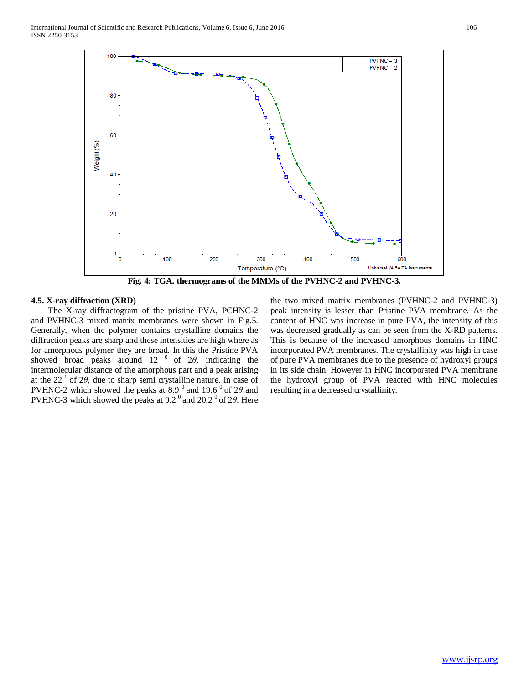

**Fig. 4: TGA. thermograms of the MMMs of the PVHNC-2 and PVHNC-3.**

#### **4.5. X-ray diffraction (XRD)**

 The X-ray diffractogram of the pristine PVA, PCHNC-2 and PVHNC-3 mixed matrix membranes were shown in Fig.5. Generally, when the polymer contains crystalline domains the diffraction peaks are sharp and these intensities are high where as for amorphous polymer they are broad. In this the Pristine PVA showed broad peaks around  $12^{-0}$  of  $2\theta$ , indicating the intermolecular distance of the amorphous part and a peak arising at the 22 0 of 2*θ*, due to sharp semi crystalline nature. In case of PVHNC-2 which showed the peaks at  $8.9^\circ$  and  $19.6^\circ$  of  $2\theta$  and PVHNC-3 which showed the peaks at 9.2<sup>0</sup> and 20.2<sup>0</sup> of 2θ. Here

the two mixed matrix membranes (PVHNC-2 and PVHNC-3) peak intensity is lesser than Pristine PVA membrane. As the content of HNC was increase in pure PVA, the intensity of this was decreased gradually as can be seen from the X-RD patterns. This is because of the increased amorphous domains in HNC incorporated PVA membranes. The crystallinity was high in case of pure PVA membranes due to the presence of hydroxyl groups in its side chain. However in HNC incorporated PVA membrane the hydroxyl group of PVA reacted with HNC molecules resulting in a decreased crystallinity.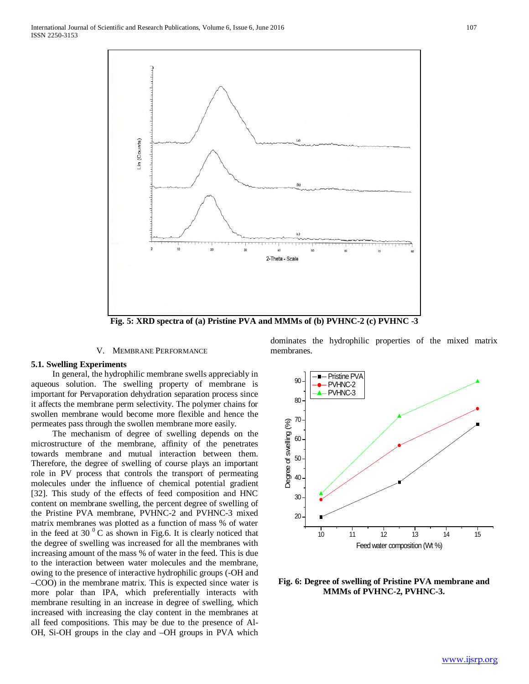

**Fig. 5: XRD spectra of (a) Pristine PVA and MMMs of (b) PVHNC-2 (c) PVHNC -3**

#### V. MEMBRANE PERFORMANCE

#### **5.1. Swelling Experiments**

 In general, the hydrophilic membrane swells appreciably in aqueous solution. The swelling property of membrane is important for Pervaporation dehydration separation process since it affects the membrane perm selectivity. The polymer chains for swollen membrane would become more flexible and hence the permeates pass through the swollen membrane more easily.

 The mechanism of degree of swelling depends on the microstructure of the membrane, affinity of the penetrates towards membrane and mutual interaction between them. Therefore, the degree of swelling of course plays an important role in PV process that controls the transport of permeating molecules under the influence of chemical potential gradient [32]. This study of the effects of feed composition and HNC content on membrane swelling, the percent degree of swelling of the Pristine PVA membrane, PVHNC-2 and PVHNC-3 mixed matrix membranes was plotted as a function of mass % of water in the feed at 30 $\mathrm{^{0}}$ C as shown in Fig.6. It is clearly noticed that the degree of swelling was increased for all the membranes with increasing amount of the mass % of water in the feed. This is due to the interaction between water molecules and the membrane, owing to the presence of interactive hydrophilic groups (-OH and –COO) in the membrane matrix. This is expected since water is more polar than IPA, which preferentially interacts with membrane resulting in an increase in degree of swelling, which increased with increasing the clay content in the membranes at all feed compositions. This may be due to the presence of Al-OH, Si-OH groups in the clay and –OH groups in PVA which dominates the hydrophilic properties of the mixed matrix membranes.



**Fig. 6: Degree of swelling of Pristine PVA membrane and MMMs of PVHNC-2, PVHNC-3.**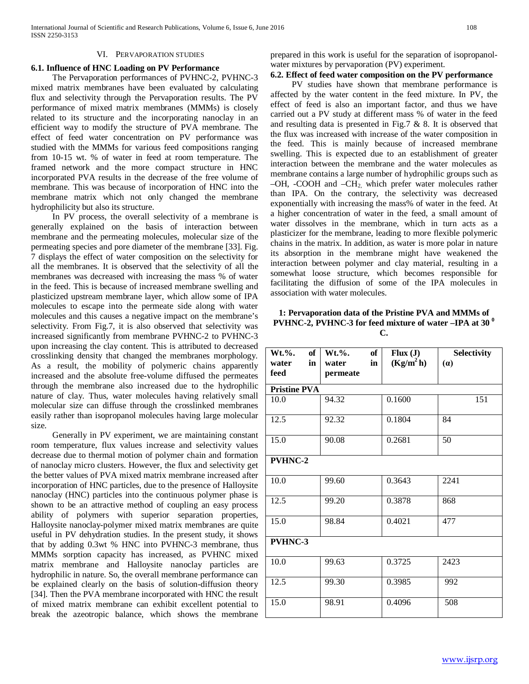#### VI. PERVAPORATION STUDIES

#### **6.1. Influence of HNC Loading on PV Performance**

 The Pervaporation performances of PVHNC-2, PVHNC-3 mixed matrix membranes have been evaluated by calculating flux and selectivity through the Pervaporation results. The PV performance of mixed matrix membranes (MMMs) is closely related to its structure and the incorporating nanoclay in an efficient way to modify the structure of PVA membrane. The effect of feed water concentration on PV performance was studied with the MMMs for various feed compositions ranging from 10-15 wt. % of water in feed at room temperature. The framed network and the more compact structure in HNC incorporated PVA results in the decrease of the free volume of membrane. This was because of incorporation of HNC into the membrane matrix which not only changed the membrane hydrophilicity but also its structure.

 In PV process, the overall selectivity of a membrane is generally explained on the basis of interaction between membrane and the permeating molecules, molecular size of the permeating species and pore diameter of the membrane [33]. Fig. 7 displays the effect of water composition on the selectivity for all the membranes. It is observed that the selectivity of all the membranes was decreased with increasing the mass % of water in the feed. This is because of increased membrane swelling and plasticized upstream membrane layer, which allow some of IPA molecules to escape into the permeate side along with water molecules and this causes a negative impact on the membrane's selectivity. From Fig.7, it is also observed that selectivity was increased significantly from membrane PVHNC-2 to PVHNC-3 upon increasing the clay content. This is attributed to decreased crosslinking density that changed the membranes morphology. As a result, the mobility of polymeric chains apparently increased and the absolute free-volume diffused the permeates through the membrane also increased due to the hydrophilic nature of clay. Thus, water molecules having relatively small molecular size can diffuse through the crosslinked membranes easily rather than isopropanol molecules having large molecular size.

 Generally in PV experiment, we are maintaining constant room temperature, flux values increase and selectivity values decrease due to thermal motion of polymer chain and formation of nanoclay micro clusters. However, the flux and selectivity get the better values of PVA mixed matrix membrane increased after incorporation of HNC particles, due to the presence of Halloysite nanoclay (HNC) particles into the continuous polymer phase is shown to be an attractive method of coupling an easy process ability of polymers with superior separation properties, Halloysite nanoclay-polymer mixed matrix membranes are quite useful in PV dehydration studies. In the present study, it shows that by adding 0.3wt % HNC into PVHNC-3 membrane, thus MMMs sorption capacity has increased, as PVHNC mixed matrix membrane and Halloysite nanoclay particles are hydrophilic in nature. So, the overall membrane performance can be explained clearly on the basis of solution-diffusion theory [34]. Then the PVA membrane incorporated with HNC the result of mixed matrix membrane can exhibit excellent potential to break the azeotropic balance, which shows the membrane prepared in this work is useful for the separation of isopropanolwater mixtures by pervaporation (PV) experiment.

# **6.2. Effect of feed water composition on the PV performance**

 PV studies have shown that membrane performance is affected by the water content in the feed mixture. In PV, the effect of feed is also an important factor, and thus we have carried out a PV study at different mass % of water in the feed and resulting data is presented in Fig.7 & 8. It is observed that the flux was increased with increase of the water composition in the feed. This is mainly because of increased membrane swelling. This is expected due to an establishment of greater interaction between the membrane and the water molecules as membrane contains a large number of hydrophilic groups such as  $-OH$ ,  $-COOH$  and  $-CH<sub>2</sub>$ , which prefer water molecules rather than IPA. On the contrary, the selectivity was decreased exponentially with increasing the mass% of water in the feed. At a higher concentration of water in the feed, a small amount of water dissolves in the membrane, which in turn acts as a plasticizer for the membrane, leading to more flexible polymeric chains in the matrix. In addition, as water is more polar in nature its absorption in the membrane might have weakened the interaction between polymer and clay material, resulting in a somewhat loose structure, which becomes responsible for facilitating the diffusion of some of the IPA molecules in association with water molecules.

#### **1: Pervaporation data of the Pristine PVA and MMMs of PVHNC-2, PVHNC-3 for feed mixture of water –IPA at 30<sup>0</sup> C.**

| $Wt.\%$ .<br>of<br>in<br>water<br>feed | of<br>$Wt.\%$ .<br>in<br>water<br>permeate | Flux(J)<br>(Kg/m <sup>2</sup> h) | Selectivity<br>(a) |  |  |  |  |  |
|----------------------------------------|--------------------------------------------|----------------------------------|--------------------|--|--|--|--|--|
| <b>Pristine PVA</b>                    |                                            |                                  |                    |  |  |  |  |  |
| 10.0                                   | 94.32                                      | 0.1600                           | 151                |  |  |  |  |  |
| 12.5                                   | 92.32                                      | 0.1804                           | 84                 |  |  |  |  |  |
| 15.0                                   | 90.08                                      | 0.2681                           | 50                 |  |  |  |  |  |
| <b>PVHNC-2</b>                         |                                            |                                  |                    |  |  |  |  |  |
| 10.0                                   | 99.60                                      | 0.3643                           | 2241               |  |  |  |  |  |
| 12.5                                   | 99.20                                      | 0.3878                           | 868                |  |  |  |  |  |
| $\overline{15.0}$                      | 98.84                                      | 0.4021                           | 477                |  |  |  |  |  |
| <b>PVHNC-3</b>                         |                                            |                                  |                    |  |  |  |  |  |
| $\overline{10.0}$                      | 99.63                                      | 0.3725                           | 2423               |  |  |  |  |  |
| 12.5                                   | 99.30                                      | 0.3985                           | 992                |  |  |  |  |  |
| 15.0                                   | 98.91                                      | 0.4096                           | 508                |  |  |  |  |  |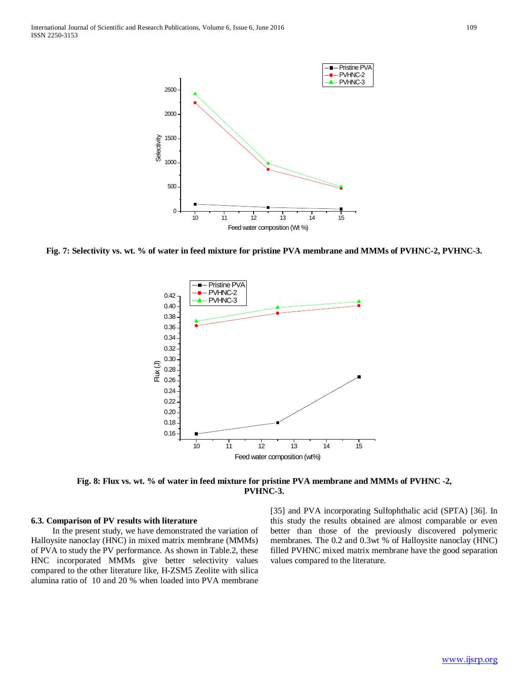

**Fig. 7: Selectivity vs. wt. % of water in feed mixture for pristine PVA membrane and MMMs of PVHNC-2, PVHNC-3.**



**Fig. 8: Flux vs. wt. % of water in feed mixture for pristine PVA membrane and MMMs of PVHNC -2, PVHNC-3.**

#### **6.3. Comparison of PV results with literature**

 In the present study, we have demonstrated the variation of Halloysite nanoclay (HNC) in mixed matrix membrane (MMMs) of PVA to study the PV performance. As shown in Table.2, these HNC incorporated MMMs give better selectivity values compared to the other literature like, H-ZSM5 Zeolite with silica alumina ratio of 10 and 20 % when loaded into PVA membrane [35] and PVA incorporating Sulfophthalic acid (SPTA) [36]. In this study the results obtained are almost comparable or even better than those of the previously discovered polymeric membranes. The 0.2 and 0.3wt % of Halloysite nanoclay (HNC) filled PVHNC mixed matrix membrane have the good separation values compared to the literature.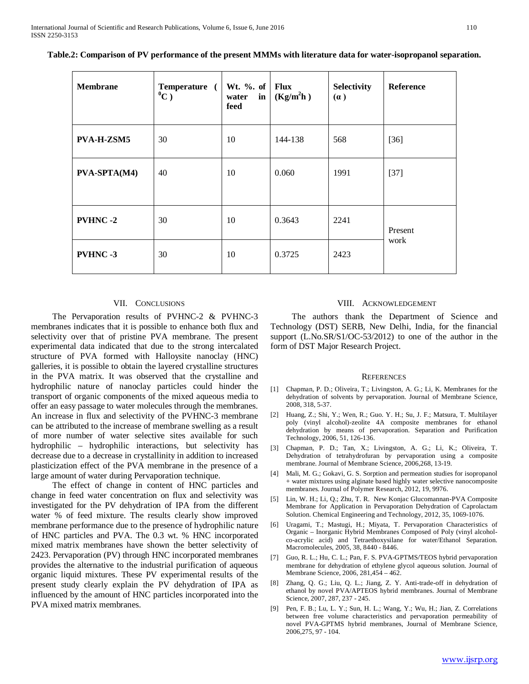| <b>Membrane</b>   | Temperature (<br>$^0C$ ) | Wt. $\%$ . of Flux<br>in<br>water<br>feed | (Kg/m <sup>2</sup> h) | Selectivity<br>(a) | <b>Reference</b> |
|-------------------|--------------------------|-------------------------------------------|-----------------------|--------------------|------------------|
| <b>PVA-H-ZSM5</b> | 30                       | 10                                        | 144-138               | 568                | $[36]$           |
| PVA-SPTA(M4)      | 40                       | 10                                        | 0.060                 | 1991               | $[37]$           |
| <b>PVHNC-2</b>    | 30                       | 10                                        | 0.3643                | 2241               | Present<br>work  |
| <b>PVHNC-3</b>    | 30                       | 10                                        | 0.3725                | 2423               |                  |

**Table.2: Comparison of PV performance of the present MMMs with literature data for water-isopropanol separation.**

#### VII. CONCLUSIONS

 The Pervaporation results of PVHNC-2 & PVHNC-3 membranes indicates that it is possible to enhance both flux and selectivity over that of pristine PVA membrane. The present experimental data indicated that due to the strong intercalated structure of PVA formed with Halloysite nanoclay (HNC) galleries, it is possible to obtain the layered crystalline structures in the PVA matrix. It was observed that the crystalline and hydrophilic nature of nanoclay particles could hinder the transport of organic components of the mixed aqueous media to offer an easy passage to water molecules through the membranes. An increase in flux and selectivity of the PVHNC-3 membrane can be attributed to the increase of membrane swelling as a result of more number of water selective sites available for such hydrophilic – hydrophilic interactions, but selectivity has decrease due to a decrease in crystallinity in addition to increased plasticization effect of the PVA membrane in the presence of a large amount of water during Pervaporation technique.

 The effect of change in content of HNC particles and change in feed water concentration on flux and selectivity was investigated for the PV dehydration of IPA from the different water % of feed mixture. The results clearly show improved membrane performance due to the presence of hydrophilic nature of HNC particles and PVA. The 0.3 wt. % HNC incorporated mixed matrix membranes have shown the better selectivity of 2423. Pervaporation (PV) through HNC incorporated membranes provides the alternative to the industrial purification of aqueous organic liquid mixtures. These PV experimental results of the present study clearly explain the PV dehydration of IPA as influenced by the amount of HNC particles incorporated into the PVA mixed matrix membranes.

#### VIII. ACKNOWLEDGEMENT

 The authors thank the Department of Science and Technology (DST) SERB, New Delhi, India, for the financial support (L.No.SR/S1/OC-53/2012) to one of the author in the form of DST Major Research Project.

#### **REFERENCES**

- [1] Chapman, P. D.; Oliveira, T.; Livingston, A. G.; Li, K. Membranes for the dehydration of solvents by pervaporation. Journal of Membrane Science, 2008, 318, 5-37.
- [2] Huang, Z.; Shi, Y.; Wen, R.; Guo. Y. H.; Su, J. F.; Matsura, T. Multilayer poly (vinyl alcohol)-zeolite 4A composite membranes for ethanol dehydration by means of pervaporation. Separation and Purification Technology, 2006, 51, 126-136.
- [3] Chapman, P. D.; Tan, X.; Livingston, A. G.; Li, K.; Oliveira, T. Dehydration of tetrahydrofuran by pervaporation using a composite membrane. Journal of Membrane Science, 2006,268, 13-19.
- [4] Mali, M. G.; Gokavi, G. S. Sorption and permeation studies for isopropanol + water mixtures using alginate based highly water selective nanocomposite membranes. Journal of Polymer Research, 2012, 19, 9976.
- [5] Lin, W. H.; Li, Q.; Zhu, T. R. New Konjac Glucomannan-PVA Composite Membrane for Application in Pervaporation Dehydration of Caprolactam Solution. Chemical Engineering and Technology, 2012, 35, 1069-1076.
- [6] Uragami, T.; Mastugi, H.; Miyata, T. Pervaporation Characteristics of Organic – Inorganic Hybrid Membranes Composed of Poly (vinyl alcoholco-acrylic acid) and Tetraethoxysilane for water/Ethanol Separation. Macromolecules, 2005, 38, 8440 - 8446.
- [7] Guo, R. L.; Hu, C. L.; Pan, F. S. PVA-GPTMS/TEOS hybrid pervaporation membrane for dehydration of ethylene glycol aqueous solution. Journal of Membrane Science, 2006, 281,454 – 462.
- [8] Zhang, Q. G.; Liu, Q. L.; Jiang, Z. Y. Anti-trade-off in dehydration of ethanol by novel PVA/APTEOS hybrid membranes. Journal of Membrane Science, 2007, 287, 237 - 245.
- [9] Pen, F. B.; Lu, L. Y.; Sun, H. L.; Wang, Y.; Wu, H.; Jian, Z. Correlations between free volume characteristics and pervaporation permeability of novel PVA-GPTMS hybrid membranes, Journal of Membrane Science, 2006,275, 97 - 104.